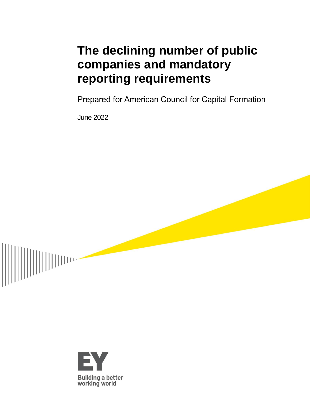# **The declining number of public companies and mandatory reporting requirements**

Prepared for American Council for Capital Formation

June 2022



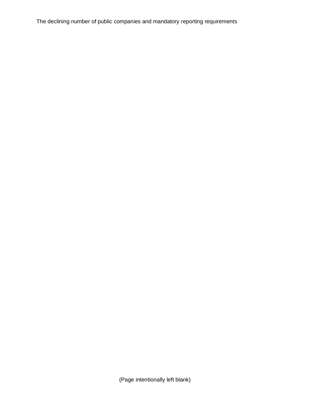The declining number of public companies and mandatory reporting requirements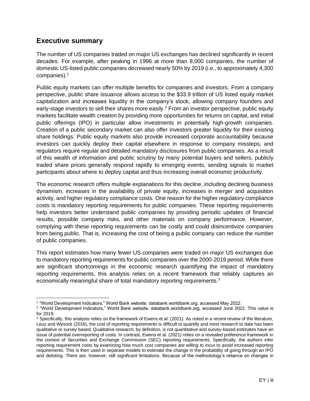# **Executive summary**

The number of US companies traded on major US exchanges has declined significantly in recent decades. For example, after peaking in 1996 at more than 8,000 companies, the number of domestic US-listed public companies decreased nearly 50% by 2019 (i.e., to approximately 4,300 companies). 1

Public equity markets can offer multiple benefits for companies and investors. From a company perspective, public share issuance allows access to the \$33.9 trillion of US listed equity market capitalization and increases liquidity in the company's stock, allowing company founders and early-stage investors to sell their shares more easily.<sup>2</sup> From an investor perspective, public equity markets facilitate wealth creation by providing more opportunities for returns on capital, and initial public offerings (IPO) in particular allow investments in potentially high-growth companies. Creation of a public secondary market can also offer investors greater liquidity for their existing share holdings. Public equity markets also provide increased corporate accountability because investors can quickly deploy their capital elsewhere in response to company missteps, and regulators require regular and detailed mandatory disclosures from public companies. As a result of this wealth of information and public scrutiny by many potential buyers and sellers, publicly traded share prices generally respond rapidly to emerging events, sending signals to market participants about where to deploy capital and thus increasing overall economic productivity.

The economic research offers multiple explanations for this decline, including declining business dynamism, increases in the availability of private equity, increases in merger and acquisition activity, and higher regulatory compliance costs. One reason for the higher regulatory compliance costs is mandatory reporting requirements for public companies. These reporting requirements help investors better understand public companies by providing periodic updates of financial results, possible company risks, and other materials on company performance. However, complying with these reporting requirements can be costly and could disincentivize companies from being public. That is, increasing the cost of being a public company can reduce the number of public companies.

This report estimates how many fewer US companies were traded on major US exchanges due to mandatory reporting requirements for public companies over the 2000-2019 period. While there are significant shortcomings in the economic research quantifying the impact of mandatory reporting requirements, this analysis relies on a recent framework that reliably captures an economically meaningful share of total mandatory reporting requirements.<sup>3</sup>

<sup>1</sup> "World Development Indicators," World Bank website, databank.worldbank.org, accessed May 2022.

<sup>2</sup> "World Development Indicators," World Bank website, databank.worldbank.org, accessed June 2022. This value is for 2019.

<sup>&</sup>lt;sup>3</sup> Specifically, this analysis relies on the framework of Ewens et al. (2021). As noted in a recent review of the literature, Leuz and Wysock (2016), the cost of reporting requirements is difficult to quantify and most research to date has been qualitative or survey based. Qualitative research, by definition, is not quantitative and survey-based estimates have an issue of potential overreporting of costs. In contrast, Ewens et al. (2021) relies on a revealed preference framework in the context of Securities and Exchange Commission (SEC) reporting requirements. Specifically, the authors infer reporting requirement costs by examining how much cost companies are willing to incur to avoid increased reporting requirements. This is then used in separate models to estimate the change in the probability of going through an IPO and delisting. There are, however, still significant limitations. Because of the methodology's reliance on changes in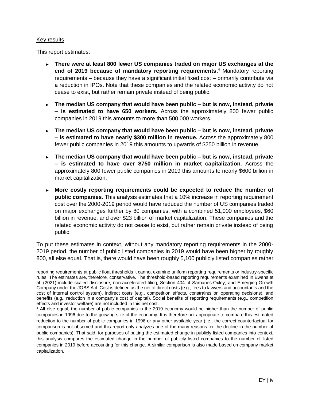#### Key results

This report estimates:

- ► **There were at least 800 fewer US companies traded on major US exchanges at the end of 2019 because of mandatory reporting requirements. <sup>4</sup>** Mandatory reporting requirements – because they have a significant initial fixed cost – primarily contribute via a reduction in IPOs. Note that these companies and the related economic activity do not cease to exist, but rather remain private instead of being public.
- ► **The median US company that would have been public – but is now, instead, private – is estimated to have 650 workers.** Across the approximately 800 fewer public companies in 2019 this amounts to more than 500,000 workers.
- ► **The median US company that would have been public – but is now, instead, private – is estimated to have nearly \$300 million in revenue.** Across the approximately 800 fewer public companies in 2019 this amounts to upwards of \$250 billion in revenue.
- ► **The median US company that would have been public – but is now, instead, private – is estimated to have over \$750 million in market capitalization.** Across the approximately 800 fewer public companies in 2019 this amounts to nearly \$600 billion in market capitalization.
- ► **More costly reporting requirements could be expected to reduce the number of public companies.** This analysis estimates that a 10% increase in reporting requirement cost over the 2000-2019 period would have reduced the number of US companies traded on major exchanges further by 80 companies, with a combined 51,000 employees, \$60 billion in revenue, and over \$23 billion of market capitalization. These companies and the related economic activity do not cease to exist, but rather remain private instead of being public.

To put these estimates in context, without any mandatory reporting requirements in the 2000- 2019 period, the number of public listed companies in 2019 would have been higher by roughly 800, all else equal. That is, there would have been roughly 5,100 publicly listed companies rather

reporting requirements at public float thresholds it cannot examine uniform reporting requirements or industry-specific rules. The estimates are, therefore, conservative. The threshold-based reporting requirements examined in Ewens et al. (2021) include scaled disclosure, non-accelerated filing, Section 404 of Sarbanes-Oxley, and Emerging Growth Company under the JOBS Act. Cost is defined as the net of direct costs (e.g., fees to lawyers and accountants and the cost of internal control system), indirect costs (e.g., competition effects, constraints on operating decisions), and benefits (e.g., reduction in a company's cost of capital). Social benefits of reporting requirements (e.g., competition effects and investor welfare) are not included in this net cost.

<sup>4</sup> All else equal, the number of public companies in the 2019 economy would be higher than the number of public companies in 1996 due to the growing size of the economy. It is therefore not appropriate to compare this estimated reduction to the number of public companies in 1996 or any other available year (i.e., the correct counterfactual for comparison is not observed and this report only analyzes one of the many reasons for the decline in the number of public companies). That said, for purposes of putting the estimated change in publicly listed companies into context, this analysis compares the estimated change in the number of publicly listed companies to the number of listed companies in 2019 before accounting for this change. A similar comparison is also made based on company market capitalization.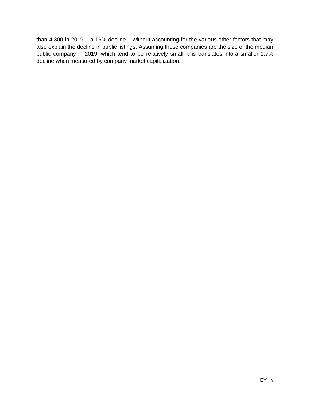than 4,300 in 2019 – a 16% decline – without accounting for the various other factors that may also explain the decline in public listings. Assuming these companies are the size of the median public company in 2019, which tend to be relatively small, this translates into a smaller 1.7% decline when measured by company market capitalization.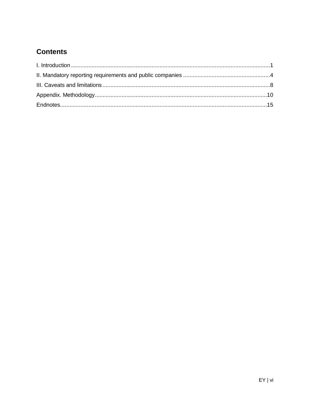# **Contents**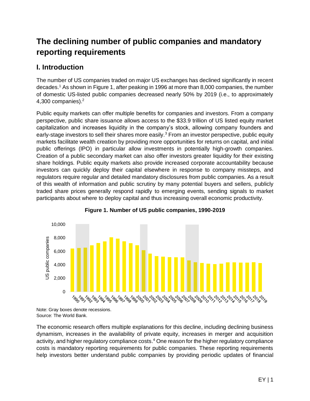# **The declining number of public companies and mandatory reporting requirements**

# <span id="page-6-0"></span>**I. Introduction**

The number of US companies traded on major US exchanges has declined significantly in recent decades.<sup>1</sup> As shown in Figure 1, after peaking in 1996 at more than 8,000 companies, the number of domestic US-listed public companies decreased nearly 50% by 2019 (i.e., to approximately 4,300 companies). 2

Public equity markets can offer multiple benefits for companies and investors. From a company perspective, public share issuance allows access to the \$33.9 trillion of US listed equity market capitalization and increases liquidity in the company's stock, allowing company founders and early-stage investors to sell their shares more easily.<sup>3</sup> From an investor perspective, public equity markets facilitate wealth creation by providing more opportunities for returns on capital, and initial public offerings (IPO) in particular allow investments in potentially high-growth companies. Creation of a public secondary market can also offer investors greater liquidity for their existing share holdings. Public equity markets also provide increased corporate accountability because investors can quickly deploy their capital elsewhere in response to company missteps, and regulators require regular and detailed mandatory disclosures from public companies. As a result of this wealth of information and public scrutiny by many potential buyers and sellers, publicly traded share prices generally respond rapidly to emerging events, sending signals to market participants about where to deploy capital and thus increasing overall economic productivity.



#### **Figure 1. Number of US public companies, 1990-2019**

Note: Gray boxes denote recessions. Source: The World Bank.

The economic research offers multiple explanations for this decline, including declining business dynamism, increases in the availability of private equity, increases in merger and acquisition activity, and higher regulatory compliance costs.<sup>4</sup> One reason for the higher regulatory compliance costs is mandatory reporting requirements for public companies. These reporting requirements help investors better understand public companies by providing periodic updates of financial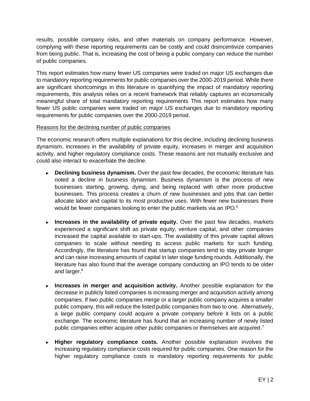results, possible company risks, and other materials on company performance. However, complying with these reporting requirements can be costly and could disincentivize companies from being public. That is, increasing the cost of being a public company can reduce the number of public companies.

This report estimates how many fewer US companies were traded on major US exchanges due to mandatory reporting requirements for public companies over the 2000-2019 period. While there are significant shortcomings in this literature in quantifying the impact of mandatory reporting requirements, this analysis relies on a recent framework that reliably captures an economically meaningful share of total mandatory reporting requirements This report estimates how many fewer US public companies were traded on major US exchanges due to mandatory reporting requirements for public companies over the 2000-2019 period.

#### Reasons for the declining number of public companies

The economic research offers multiple explanations for this decline, including declining business dynamism, increases in the availability of private equity, increases in merger and acquisition activity, and higher regulatory compliance costs. These reasons are not mutually exclusive and could also interact to exacerbate the decline.

- ► **Declining business dynamism.** Over the past few decades, the economic literature has noted a decline in business dynamism. Business dynamism is the process of new businesses starting, growing, dying, and being replaced with other more productive businesses. This process creates a churn of new businesses and jobs that can better allocate labor and capital to its most productive uses. With fewer new businesses there would be fewer companies looking to enter the public markets via an IPO. $5$
- ► **Increases in the availability of private equity.** Over the past few decades, markets experienced a significant shift as private equity, venture capital, and other companies increased the capital available to start-ups. The availability of this private capital allows companies to scale without needing to access public markets for such funding. Accordingly, the literature has found that startup companies tend to stay private longer and can raise increasing amounts of capital in later stage funding rounds. Additionally, the literature has also found that the average company conducting an IPO tends to be older and larger.<sup>6</sup>
- ► **Increases in merger and acquisition activity.** Another possible explanation for the decrease in publicly listed companies is increasing merger and acquisition activity among companies. If two public companies merge or a larger public company acquires a smaller public company, this will reduce the listed public companies from two to one. Alternatively, a large public company could acquire a private company before it lists on a public exchange. The economic literature has found that an increasing number of newly listed public companies either acquire other public companies or themselves are acquired.<sup>7</sup>
- ► **Higher regulatory compliance costs.** Another possible explanation involves the increasing regulatory compliance costs required for public companies. One reason for the higher regulatory compliance costs is mandatory reporting requirements for public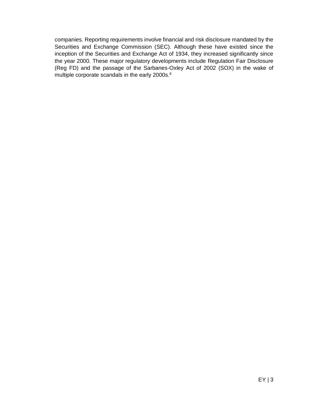companies. Reporting requirements involve financial and risk disclosure mandated by the Securities and Exchange Commission (SEC). Although these have existed since the inception of the Securities and Exchange Act of 1934, they increased significantly since the year 2000. These major regulatory developments include Regulation Fair Disclosure (Reg FD) and the passage of the Sarbanes-Oxley Act of 2002 (SOX) in the wake of multiple corporate scandals in the early 2000s.<sup>8</sup>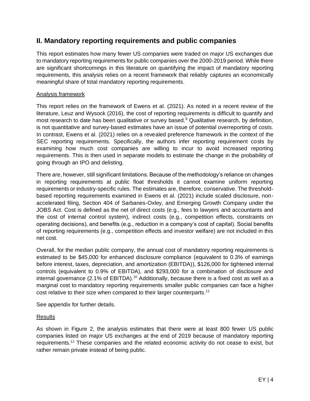# <span id="page-9-0"></span>**II. Mandatory reporting requirements and public companies**

This report estimates how many fewer US companies were traded on major US exchanges due to mandatory reporting requirements for public companies over the 2000-2019 period. While there are significant shortcomings in this literature on quantifying the impact of mandatory reporting requirements, this analysis relies on a recent framework that reliably captures an economically meaningful share of total mandatory reporting requirements.

#### Analysis framework

This report relies on the framework of Ewens et al. (2021). As noted in a recent review of the literature, Leuz and Wysock (2016), the cost of reporting requirements is difficult to quantify and most research to date has been qualitative or survey based.<sup>9</sup> Qualitative research, by definition, is not quantitative and survey-based estimates have an issue of potential overreporting of costs. In contrast, Ewens et al. (2021) relies on a revealed preference framework in the context of the SEC reporting requirements. Specifically, the authors infer reporting requirement costs by examining how much cost companies are willing to incur to avoid increased reporting requirements. This is then used in separate models to estimate the change in the probability of going through an IPO and delisting.

There are, however, still significant limitations. Because of the methodology's reliance on changes in reporting requirements at public float thresholds it cannot examine uniform reporting requirements or industry-specific rules. The estimates are, therefore, conservative. The thresholdbased reporting requirements examined in Ewens et al. (2021) include scaled disclosure, nonaccelerated filing, Section 404 of Sarbanes-Oxley, and Emerging Growth Company under the JOBS Act. Cost is defined as the net of direct costs (e.g., fees to lawyers and accountants and the cost of internal control system), indirect costs (e.g., competition effects, constraints on operating decisions), and benefits (e.g., reduction in a company's cost of capital). Social benefits of reporting requirements (e.g., competition effects and investor welfare) are not included in this net cost.

Overall, for the median public company, the annual cost of mandatory reporting requirements is estimated to be \$45,000 for enhanced disclosure compliance (equivalent to 0.3% of earnings before interest, taxes, depreciation, and amortization (EBITDA)), \$126,000 for tightened internal controls (equivalent to 0.9% of EBITDA), and \$293,000 for a combination of disclosure and internal governance (2.1% of EBITDA).<sup>10</sup> Additionally, because there is a fixed cost as well as a marginal cost to mandatory reporting requirements smaller public companies can face a higher cost relative to their size when compared to their larger counterparts.<sup>11</sup>

See appendix for further details.

#### Results

As shown in Figure 2, the analysis estimates that there were at least 800 fewer US public companies listed on major US exchanges at the end of 2019 because of mandatory reporting requirements.<sup>12</sup> These companies and the related economic activity do not cease to exist, but rather remain private instead of being public.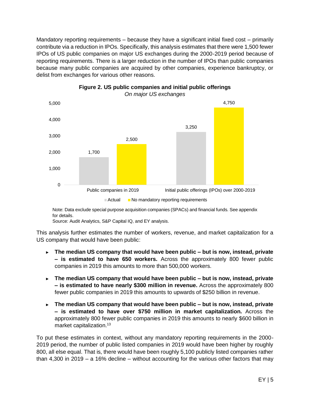Mandatory reporting requirements – because they have a significant initial fixed cost – primarily contribute via a reduction in IPOs. Specifically, this analysis estimates that there were 1,500 fewer IPOs of US public companies on major US exchanges during the 2000-2019 period because of reporting requirements. There is a larger reduction in the number of IPOs than public companies because many public companies are acquired by other companies, experience bankruptcy, or delist from exchanges for various other reasons.





Note: Data exclude special purpose acquisition companies (SPACs) and financial funds. See appendix for details.

Source: Audit Analytics, S&P Capital IQ, and EY analysis.

This analysis further estimates the number of workers, revenue, and market capitalization for a US company that would have been public:

- ► **The median US company that would have been public – but is now, instead, private – is estimated to have 650 workers.** Across the approximately 800 fewer public companies in 2019 this amounts to more than 500,000 workers.
- ► **The median US company that would have been public – but is now, instead, private – is estimated to have nearly \$300 million in revenue.** Across the approximately 800 fewer public companies in 2019 this amounts to upwards of \$250 billion in revenue.
- ► **The median US company that would have been public – but is now, instead, private – is estimated to have over \$750 million in market capitalization.** Across the approximately 800 fewer public companies in 2019 this amounts to nearly \$600 billion in market capitalization.<sup>13</sup>

To put these estimates in context, without any mandatory reporting requirements in the 2000- 2019 period, the number of public listed companies in 2019 would have been higher by roughly 800, all else equal. That is, there would have been roughly 5,100 publicly listed companies rather than 4,300 in 2019 – a 16% decline – without accounting for the various other factors that may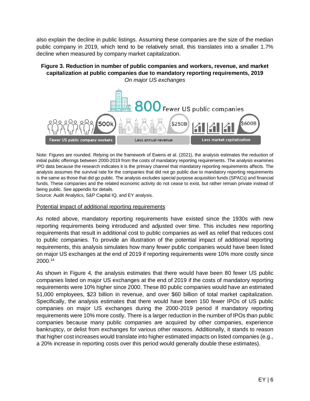also explain the decline in public listings. Assuming these companies are the size of the median public company in 2019, which tend to be relatively small, this translates into a smaller 1.7% decline when measured by company market capitalization.

#### **Figure 3. Reduction in number of public companies and workers, revenue, and market capitalization at public companies due to mandatory reporting requirements, 2019** *On major US exchanges*



Note: Figures are rounded. Relying on the framework of Ewens et al. (2021), the analysis estimates the reduction of initial public offerings between 2000-2019 from the costs of mandatory reporting requirements. The analysis examines IPO data because the research indicates it is the primary channel that mandatory reporting requirements affects. The analysis assumes the survival rate for the companies that did not go public due to mandatory reporting requirements is the same as those that did go public. The analysis excludes special purpose acquisition funds (SPACs) and financial funds. These companies and the related economic activity do not cease to exist, but rather remain private instead of being public. See appendix for details.

Source: Audit Analytics, S&P Capital IQ, and EY analysis.

#### Potential impact of additional reporting requirements

As noted above, mandatory reporting requirements have existed since the 1930s with new reporting requirements being introduced and adjusted over time. This includes new reporting requirements that result in additional cost to public companies as well as relief that reduces cost to public companies. To provide an illustration of the potential impact of additional reporting requirements, this analysis simulates how many fewer public companies would have been listed on major US exchanges at the end of 2019 if reporting requirements were 10% more costly since 2000. 14

As shown in Figure 4, the analysis estimates that there would have been 80 fewer US public companies listed on major US exchanges at the end of 2019 if the costs of mandatory reporting requirements were 10% higher since 2000. These 80 public companies would have an estimated 51,000 employees, \$23 billion in revenue, and over \$60 billion of total market capitalization. Specifically, the analysis estimates that there would have been 150 fewer IPOs of US public companies on major US exchanges during the 2000-2019 period if mandatory reporting requirements were 10% more costly. There is a larger reduction in the number of IPOs than public companies because many public companies are acquired by other companies, experience bankruptcy, or delist from exchanges for various other reasons. Additionally, it stands to reason that higher cost increases would translate into higher estimated impacts on listed companies (e.g., a 20% increase in reporting costs over this period would generally double these estimates).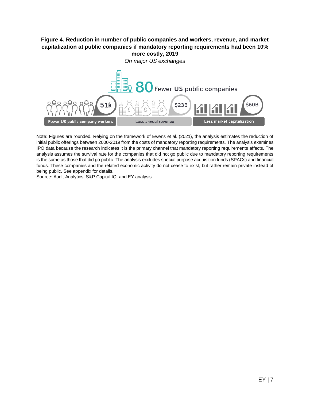#### **Figure 4. Reduction in number of public companies and workers, revenue, and market capitalization at public companies if mandatory reporting requirements had been 10% more costly, 2019**



Note: Figures are rounded. Relying on the framework of Ewens et al. (2021), the analysis estimates the reduction of initial public offerings between 2000-2019 from the costs of mandatory reporting requirements. The analysis examines IPO data because the research indicates it is the primary channel that mandatory reporting requirements affects. The analysis assumes the survival rate for the companies that did not go public due to mandatory reporting requirements is the same as those that did go public. The analysis excludes special purpose acquisition funds (SPACs) and financial funds. These companies and the related economic activity do not cease to exist, but rather remain private instead of being public. See appendix for details.

Source: Audit Analytics, S&P Capital IQ, and EY analysis.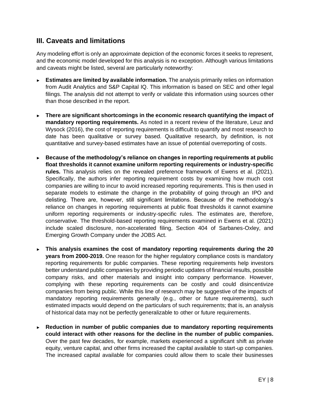### <span id="page-13-0"></span>**III. Caveats and limitations**

Any modeling effort is only an approximate depiction of the economic forces it seeks to represent, and the economic model developed for this analysis is no exception. Although various limitations and caveats might be listed, several are particularly noteworthy:

- ► **Estimates are limited by available information.** The analysis primarily relies on information from Audit Analytics and S&P Capital IQ. This information is based on SEC and other legal filings. The analysis did not attempt to verify or validate this information using sources other than those described in the report.
- ► **There are significant shortcomings in the economic research quantifying the impact of mandatory reporting requirements.** As noted in a recent review of the literature, Leuz and Wysock (2016), the cost of reporting requirements is difficult to quantify and most research to date has been qualitative or survey based. Qualitative research, by definition, is not quantitative and survey-based estimates have an issue of potential overreporting of costs.
- ► **Because of the methodology's reliance on changes in reporting requirements at public float thresholds it cannot examine uniform reporting requirements or industry-specific rules.** This analysis relies on the revealed preference framework of Ewens et al. (2021). Specifically, the authors infer reporting requirement costs by examining how much cost companies are willing to incur to avoid increased reporting requirements. This is then used in separate models to estimate the change in the probability of going through an IPO and delisting. There are, however, still significant limitations. Because of the methodology's reliance on changes in reporting requirements at public float thresholds it cannot examine uniform reporting requirements or industry-specific rules. The estimates are, therefore, conservative. The threshold-based reporting requirements examined in Ewens et al. (2021) include scaled disclosure, non-accelerated filing, Section 404 of Sarbanes-Oxley, and Emerging Growth Company under the JOBS Act.
- ► **This analysis examines the cost of mandatory reporting requirements during the 20 years from 2000-2019.** One reason for the higher regulatory compliance costs is mandatory reporting requirements for public companies. These reporting requirements help investors better understand public companies by providing periodic updates of financial results, possible company risks, and other materials and insight into company performance. However, complying with these reporting requirements can be costly and could disincentivize companies from being public. While this line of research may be suggestive of the impacts of mandatory reporting requirements generally (e.g., other or future requirements), such estimated impacts would depend on the particulars of such requirements; that is, an analysis of historical data may not be perfectly generalizable to other or future requirements.
- ► **Reduction in number of public companies due to mandatory reporting requirements could interact with other reasons for the decline in the number of public companies.** Over the past few decades, for example, markets experienced a significant shift as private equity, venture capital, and other firms increased the capital available to start-up companies. The increased capital available for companies could allow them to scale their businesses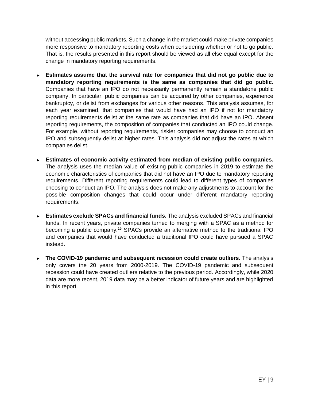without accessing public markets. Such a change in the market could make private companies more responsive to mandatory reporting costs when considering whether or not to go public. That is, the results presented in this report should be viewed as all else equal except for the change in mandatory reporting requirements.

- ► **Estimates assume that the survival rate for companies that did not go public due to mandatory reporting requirements is the same as companies that did go public.** Companies that have an IPO do not necessarily permanently remain a standalone public company. In particular, public companies can be acquired by other companies, experience bankruptcy, or delist from exchanges for various other reasons. This analysis assumes, for each year examined, that companies that would have had an IPO if not for mandatory reporting requirements delist at the same rate as companies that did have an IPO. Absent reporting requirements, the composition of companies that conducted an IPO could change. For example, without reporting requirements, riskier companies may choose to conduct an IPO and subsequently delist at higher rates. This analysis did not adjust the rates at which companies delist.
- ► **Estimates of economic activity estimated from median of existing public companies.**  The analysis uses the median value of existing public companies in 2019 to estimate the economic characteristics of companies that did not have an IPO due to mandatory reporting requirements. Different reporting requirements could lead to different types of companies choosing to conduct an IPO. The analysis does not make any adjustments to account for the possible composition changes that could occur under different mandatory reporting requirements.
- ► **Estimates exclude SPACs and financial funds.** The analysis excluded SPACs and financial funds. In recent years, private companies turned to merging with a SPAC as a method for becoming a public company.<sup>15</sup> SPACs provide an alternative method to the traditional IPO and companies that would have conducted a traditional IPO could have pursued a SPAC instead.
- ► **The COVID-19 pandemic and subsequent recession could create outliers.** The analysis only covers the 20 years from 2000-2019. The COVID-19 pandemic and subsequent recession could have created outliers relative to the previous period. Accordingly, while 2020 data are more recent, 2019 data may be a better indicator of future years and are highlighted in this report.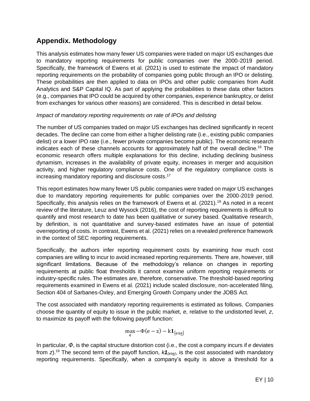# <span id="page-15-0"></span>**Appendix. Methodology**

This analysis estimates how many fewer US companies were traded on major US exchanges due to mandatory reporting requirements for public companies over the 2000-2019 period. Specifically, the framework of Ewens et al. (2021) is used to estimate the impact of mandatory reporting requirements on the probability of companies going public through an IPO or delisting. These probabilities are then applied to data on IPOs and other public companies from Audit Analytics and S&P Capital IQ. As part of applying the probabilities to these data other factors (e.g., companies that IPO could be acquired by other companies, experience bankruptcy, or delist from exchanges for various other reasons) are considered. This is described in detail below.

#### *Impact of mandatory reporting requirements on rate of IPOs and delisting*

The number of US companies traded on major US exchanges has declined significantly in recent decades. The decline can come from either a higher delisting rate (i.e., existing public companies delist) or a lower IPO rate (i.e., fewer private companies become public). The economic research indicates each of these channels accounts for approximately half of the overall decline.<sup>16</sup> The economic research offers multiple explanations for this decline, including declining business dynamism, increases in the availability of private equity, increases in merger and acquisition activity, and higher regulatory compliance costs. One of the regulatory compliance costs is increasing mandatory reporting and disclosure costs. 17

This report estimates how many fewer US public companies were traded on major US exchanges due to mandatory reporting requirements for public companies over the 2000-2019 period. Specifically, this analysis relies on the framework of Ewens et al. (2021).<sup>18</sup> As noted in a recent review of the literature, Leuz and Wysock (2016), the cost of reporting requirements is difficult to quantify and most research to date has been qualitative or survey based. Qualitative research, by definition, is not quantitative and survey-based estimates have an issue of potential overreporting of costs. In contrast, Ewens et al. (2021) relies on a revealed preference framework in the context of SEC reporting requirements.

Specifically, the authors infer reporting requirement costs by examining how much cost companies are willing to incur to avoid increased reporting requirements. There are, however, still significant limitations. Because of the methodology's reliance on changes in reporting requirements at public float thresholds it cannot examine uniform reporting requirements or industry-specific rules. The estimates are, therefore, conservative. The threshold-based reporting requirements examined in Ewens et al. (2021) include scaled disclosure, non-accelerated filing, Section 404 of Sarbanes-Oxley, and Emerging Growth Company under the JOBS Act.

The cost associated with mandatory reporting requirements is estimated as follows. Companies choose the quantity of equity to issue in the public market, *e*, relative to the undistorted level, *z*, to maximize its payoff with the following payoff function:

$$
\max_e - \Phi(e-z) - k \mathbf{1}_{\{e \geq \underline{e}\}}
$$

In particular, *Φ*, is the capital structure distortion cost (i.e., the cost a company incurs if *e* deviates from *z*). <sup>19</sup> The second term of the payoff function, *k1{e≥e}*, is the cost associated with mandatory reporting requirements. Specifically, when a company's equity is above a threshold for a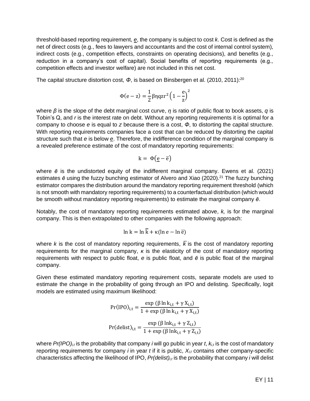threshold-based reporting requirement, *e*, the company is subject to cost *k*. Cost is defined as the net of direct costs (e.g., fees to lawyers and accountants and the cost of internal control system), indirect costs (e.g., competition effects, constraints on operating decisions), and benefits (e.g., reduction in a company's cost of capital). Social benefits of reporting requirements (e.g., competition effects and investor welfare) are not included in this net cost.

The capital structure distortion cost, *Φ*, is based on Binsbergen et al. (2010, 2011): 20

$$
\Phi(e-z)=\frac{1}{2}\beta\eta qzr^2\left(1-\frac{e}{z}\right)^2
$$

where *β* is the slope of the debt marginal cost curve, *η* is ratio of public float to book assets, *q* is Tobin's Q, and *r* is the interest rate on debt. Without any reporting requirements it is optimal for a company to choose  $e$  is equal to *z* because there is a cost,  $\phi$ , to distorting the capital structure. With reporting requirements companies face a cost that can be reduced by distorting the capital structure such that *e* is below *e*. Therefore, the indifference condition of the marginal company is a revealed preference estimate of the cost of mandatory reporting requirements:

$$
k = \Phi(\underline{e} - \overline{e})
$$

where *ē* is the undistorted equity of the indifferent marginal company. Ewens et al. (2021) estimates  $\bar{e}$  using the fuzzy bunching estimator of Alvero and Xiao (2020).<sup>21</sup> The fuzzy bunching estimator compares the distribution around the mandatory reporting requirement threshold (which is not smooth with mandatory reporting requirements) to a counterfactual distribution (which would be smooth without mandatory reporting requirements) to estimate the marginal company *ē*.

Notably, the cost of mandatory reporting requirements estimated above, *k,* is for the marginal company. This is then extrapolated to other companies with the following approach:

$$
\ln k = \ln \overline{k} + \kappa (\ln e - \ln \overline{e})
$$

where *k* is the cost of mandatory reporting requirements,  $\overline{k}$  is the cost of mandatory reporting requirements for the marginal company, *κ* is the elasticity of the cost of mandatory reporting requirements with respect to public float, *e* is public float, and *ē* is public float of the marginal company.

Given these estimated mandatory reporting requirement costs, separate models are used to estimate the change in the probability of going through an IPO and delisting. Specifically, logit models are estimated using maximum likelihood:

$$
Pr(IPO)_{i,t} = \frac{\exp(\beta \ln k_{i,t} + \gamma X_{i,t})}{1 + \exp(\beta \ln k_{i,t} + \gamma X_{i,t})}
$$

$$
Pr(delist)_{i,t} = \frac{\exp(\beta \ln k_{i,t} + \gamma Z_{i,t})}{1 + \exp(\beta \ln k_{i,t} + \gamma Z_{i,t})}
$$

where  $Pr(IPO)_{it}$  is the probability that company *i* will go public in year *t*,  $k_{it}$  is the cost of mandatory reporting requirements for company *i* in year *t* if it is public, *Xi,t* contains other company-specific characteristics affecting the likelihood of IPO, *Pr(delist)i,t* is the probability that company *i* will delist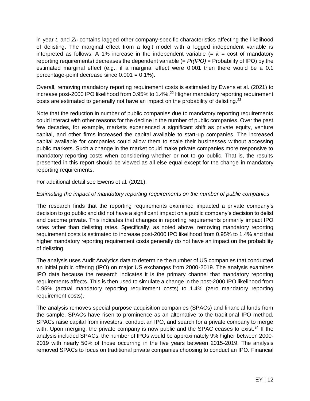in year *t*, and *Zi,t* contains lagged other company-specific characteristics affecting the likelihood of delisting. The marginal effect from a logit model with a logged independent variable is interpreted as follows: A 1% increase in the independent variable  $(= k = \text{cost of mandatory})$ reporting requirements) decreases the dependent variable (= *Pr(IPO)* = Probability of IPO) by the estimated marginal effect (e.g., if a marginal effect were 0.001 then there would be a 0.1 percentage-point decrease since  $0.001 = 0.1\%$ ).

Overall, removing mandatory reporting requirement costs is estimated by Ewens et al. (2021) to increase post-2000 IPO likelihood from 0.95% to 1.4%.<sup>22</sup> Higher mandatory reporting requirement costs are estimated to generally not have an impact on the probability of delisting.<sup>23</sup>

Note that the reduction in number of public companies due to mandatory reporting requirements could interact with other reasons for the decline in the number of public companies. Over the past few decades, for example, markets experienced a significant shift as private equity, venture capital, and other firms increased the capital available to start-up companies. The increased capital available for companies could allow them to scale their businesses without accessing public markets. Such a change in the market could make private companies more responsive to mandatory reporting costs when considering whether or not to go public. That is, the results presented in this report should be viewed as all else equal except for the change in mandatory reporting requirements.

For additional detail see Ewens et al. (2021).

#### *Estimating the impact of mandatory reporting requirements on the number of public companies*

The research finds that the reporting requirements examined impacted a private company's decision to go public and did not have a significant impact on a public company's decision to delist and become private. This indicates that changes in reporting requirements primarily impact IPO rates rather than delisting rates. Specifically, as noted above, removing mandatory reporting requirement costs is estimated to increase post-2000 IPO likelihood from 0.95% to 1.4% and that higher mandatory reporting requirement costs generally do not have an impact on the probability of delisting.

The analysis uses Audit Analytics data to determine the number of US companies that conducted an initial public offering (IPO) on major US exchanges from 2000-2019. The analysis examines IPO data because the research indicates it is the primary channel that mandatory reporting requirements affects. This is then used to simulate a change in the post-2000 IPO likelihood from 0.95% (actual mandatory reporting requirement costs) to 1.4% (zero mandatory reporting requirement costs).

The analysis removes special purpose acquisition companies (SPACs) and financial funds from the sample. SPACs have risen to prominence as an alternative to the traditional IPO method. SPACs raise capital from investors, conduct an IPO, and search for a private company to merge with. Upon merging, the private company is now public and the SPAC ceases to exist.<sup>24</sup> If the analysis included SPACs, the number of IPOs would be approximately 9% higher between 2000- 2019 with nearly 50% of those occurring in the five years between 2015-2019. The analysis removed SPACs to focus on traditional private companies choosing to conduct an IPO. Financial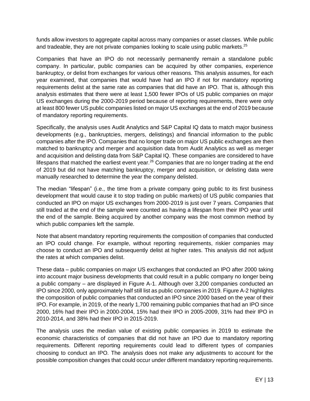funds allow investors to aggregate capital across many companies or asset classes. While public and tradeable, they are not private companies looking to scale using public markets.<sup>25</sup>

Companies that have an IPO do not necessarily permanently remain a standalone public company. In particular, public companies can be acquired by other companies, experience bankruptcy, or delist from exchanges for various other reasons. This analysis assumes, for each year examined, that companies that would have had an IPO if not for mandatory reporting requirements delist at the same rate as companies that did have an IPO. That is, although this analysis estimates that there were at least 1,500 fewer IPOs of US public companies on major US exchanges during the 2000-2019 period because of reporting requirements, there were only at least 800 fewer US public companies listed on major US exchanges at the end of 2019 because of mandatory reporting requirements.

Specifically, the analysis uses Audit Analytics and S&P Capital IQ data to match major business developments (e.g., bankruptcies, mergers, delistings) and financial information to the public companies after the IPO. Companies that no longer trade on major US public exchanges are then matched to bankruptcy and merger and acquisition data from Audit Analytics as well as merger and acquisition and delisting data from S&P Capital IQ. These companies are considered to have lifespans that matched the earliest event year.<sup>26</sup> Companies that are no longer trading at the end of 2019 but did not have matching bankruptcy, merger and acquisition, or delisting data were manually researched to determine the year the company delisted.

The median "lifespan" (i.e., the time from a private company going public to its first business development that would cause it to stop trading on public markets) of US public companies that conducted an IPO on major US exchanges from 2000-2019 is just over 7 years. Companies that still traded at the end of the sample were counted as having a lifespan from their IPO year until the end of the sample. Being acquired by another company was the most common method by which public companies left the sample.

Note that absent mandatory reporting requirements the composition of companies that conducted an IPO could change. For example, without reporting requirements, riskier companies may choose to conduct an IPO and subsequently delist at higher rates. This analysis did not adjust the rates at which companies delist.

These data – public companies on major US exchanges that conducted an IPO after 2000 taking into account major business developments that could result in a public company no longer being a public company – are displayed in Figure A-1. Although over 3,200 companies conducted an IPO since 2000, only approximately half still list as public companies in 2019. Figure A-2 highlights the composition of public companies that conducted an IPO since 2000 based on the year of their IPO. For example, in 2019, of the nearly 1,700 remaining public companies that had an IPO since 2000, 16% had their IPO in 2000-2004, 15% had their IPO in 2005-2009, 31% had their IPO in 2010-2014, and 38% had their IPO in 2015-2019.

The analysis uses the median value of existing public companies in 2019 to estimate the economic characteristics of companies that did not have an IPO due to mandatory reporting requirements. Different reporting requirements could lead to different types of companies choosing to conduct an IPO. The analysis does not make any adjustments to account for the possible composition changes that could occur under different mandatory reporting requirements.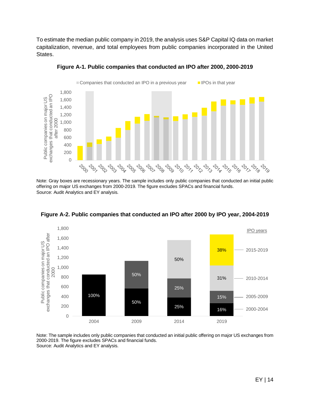To estimate the median public company in 2019, the analysis uses S&P Capital IQ data on market capitalization, revenue, and total employees from public companies incorporated in the United States.



**Figure A-1. Public companies that conducted an IPO after 2000, 2000-2019**

Note: Gray boxes are recessionary years. The sample includes only public companies that conducted an initial public offering on major US exchanges from 2000-2019. The figure excludes SPACs and financial funds. Source: Audit Analytics and EY analysis.



**Figure A-2. Public companies that conducted an IPO after 2000 by IPO year, 2004-2019**

Note: The sample includes only public companies that conducted an initial public offering on major US exchanges from 2000-2019. The figure excludes SPACs and financial funds. Source: Audit Analytics and EY analysis.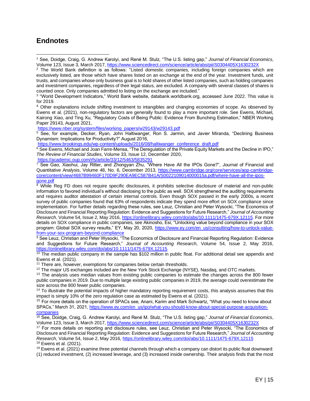### <span id="page-20-0"></span>**Endnotes**

<sup>1</sup> See, Doidge, Craig, G. Andrew Karolyi, and René M. Stulz, "The U.S. listing gap," *Journal of Financial Economics*, Volume 123, Issue 3, March 2017[, https://www.sciencedirect.com/science/article/abs/pii/S0304405X1630232X](https://www.sciencedirect.com/science/article/abs/pii/S0304405X1630232X)

<sup>2</sup> The World Bank definition is as follows: "Listed domestic companies, including foreign companies which are exclusively listed, are those which have shares listed on an exchange at the end of the year. Investment funds, unit trusts, and companies whose only business goal is to hold shares of other listed companies, such as holding companies and investment companies, regardless of their legal status, are excluded. A company with several classes of shares is counted once. Only companies admitted to listing on the exchange are included."

3 "World Development Indicators," World Bank website, databank.worldbank.org, accessed June 2022. This value is for 2019.

<sup>4</sup> Other explanations include shifting investment to intangibles and changing economies of scope. As observed by Ewens et al. (2021), non-regulatory factors are generally found to play a more important role. See Ewens, Michael, Kairong Xiao, and Ting Xu, "Regulatory Costs of Being Public: Evidence From Bunching Estimation," NBER Working Paper 29143, August 2021,

[https://www.nber.org/system/files/working\\_papers/w29143/w29143.pdf](https://www.nber.org/system/files/working_papers/w29143/w29143.pdf)

5 See, for example, Decker, Ryan, John Haltiwanger, Ron S. Jarmin, and Javier Miranda, "Declining Business Dynamism: Implications for Productivity?" August 2016,

[https://www.brookings.edu/wp-content/uploads/2016/08/haltiwanger\\_conference\\_draft.pdf](https://www.brookings.edu/wp-content/uploads/2016/08/haltiwanger_conference_draft.pdf)

<sup>6</sup> See Ewens, Michael and Joan Farre-Mensa, "The Deregulation of the Private Equity Markets and the Decline in IPO," *The Review of Financial Studies*, Volume 33, Issue 12, December 2020,

<https://academic.oup.com/rfs/article/33/12/5463/5835291>

<sup>7</sup> See Gao, Xiaohui, Jay Ritter, and Zhongyan Zhu, "Where Have All the IPOs Gone?", Journal of Financial and Quantitative Analysis, Volume 48, No. 6, December 2013, [https://www.cambridge.org/core/services/aop-cambridge](https://www.cambridge.org/core/services/aop-cambridge-core/content/view/4687B99460F170D9F290EA9EC587B41A/S0022109014000015a.pdf/where-have-all-the-ipos-gone.pdf)[core/content/view/4687B99460F170D9F290EA9EC587B41A/S0022109014000015a.pdf/where-have-all-the-ipos](https://www.cambridge.org/core/services/aop-cambridge-core/content/view/4687B99460F170D9F290EA9EC587B41A/S0022109014000015a.pdf/where-have-all-the-ipos-gone.pdf)[gone.pdf](https://www.cambridge.org/core/services/aop-cambridge-core/content/view/4687B99460F170D9F290EA9EC587B41A/S0022109014000015a.pdf/where-have-all-the-ipos-gone.pdf)

 $8$  While Reg FD does not require specific disclosures, it prohibits selective disclosure of material and non-public information to favored individual's without disclosing to the public as well. SOX strengthened the auditing requirements and requires auditor attestation of certain internal controls. Even though SOX passed in the early 2000s, a recent survey of public companies found that 63% of respondents indicate they spend more effort on SOX compliance since implementation. For further details regarding these rules, see Leuz, Christian and Peter Wysocki, "The Economics of Disclosure and Financial Reporting Regulation: Evidence and Suggestions for Future Research," *Journal of Accounting Research*, Volume 54, Issue 2, May 2016[, https://onlinelibrary.wiley.com/doi/abs/10.1111/1475-679X.12115.](https://onlinelibrary.wiley.com/doi/abs/10.1111/1475-679X.12115) For more details on SOX compliance in public companies, see Akinosho, Esi, "Unlocking value beyond compliance in your SOX program: Global SOX survey results," EY, May 20, 2020, [https://www.ey.com/en\\_us/consulting/how-to-unlock-value](https://www.ey.com/en_us/consulting/how-to-unlock-value-from-your-sox-program-beyond-compliance)[from-your-sox-program-beyond-compliance](https://www.ey.com/en_us/consulting/how-to-unlock-value-from-your-sox-program-beyond-compliance)

9 See Leuz, Christian and Peter Wysocki, "The Economics of Disclosure and Financial Reporting Regulation: Evidence and Suggestions for Future Research," *Journal of Accounting Research*, Volume 54, Issue 2, May 2016, [https://onlinelibrary.wiley.com/doi/abs/10.1111/1475-679X.12115.](https://onlinelibrary.wiley.com/doi/abs/10.1111/1475-679X.12115)

<sup>10</sup> The median public company in the sample has \$102 million in public float. For additional detail see appendix and Ewens et al. (2021).

<sup>11</sup> There are, however, exemptions for companies below certain thresholds.

<sup>12</sup> The major US exchanges included are the New York Stock Exchange (NYSE), Nasdaq, and OTC markets.

<sup>13</sup> The analysis uses median values from existing public companies to estimate the changes across the 800 fewer public companies in 2019. Due to multiple large existing public companies in 2019, the average could overestimate the size across the 800 fewer public companies.

<sup>14</sup> To illustrate the potential impacts of higher mandatory reporting requirement costs, this analysis assumes that this impact is simply 10% of the zero regulation case as estimated by Ewens et al. (2021).

<sup>15</sup> For more details on the operation of SPACs see, Anani, Karim and Mark Schwartz, "What you need to know about SPACs," March 31, 2021[, https://www.ey.com/en\\_us/ipo/what-you-should-know-about-special-purpose-acquisition](https://www.ey.com/en_us/ipo/what-you-should-know-about-special-purpose-acquisition-companies)[companies](https://www.ey.com/en_us/ipo/what-you-should-know-about-special-purpose-acquisition-companies)

<sup>16</sup> See, Doidge, Craig, G. Andrew Karolyi, and René M. Stulz, "The U.S. listing gap," *Journal of Financial Economics*, Volume 123, Issue 3, March 2017[, https://www.sciencedirect.com/science/article/abs/pii/S0304405X1630232X](https://www.sciencedirect.com/science/article/abs/pii/S0304405X1630232X)

<sup>17</sup> For more details on reporting and disclosure rules, see Leuz, Christian and Peter Wysocki, "The Economics of Disclosure and Financial Reporting Regulation: Evidence and Suggestions for Future Research," *Journal of Accounting Research*, Volume 54, Issue 2, May 2016,<https://onlinelibrary.wiley.com/doi/abs/10.1111/1475-679X.12115> <sup>18</sup> Ewens et al. (2021).

 $19$  Ewens et al. (2021) examine three potential channels through which a company can distort its public float downward: (1) reduced investment, (2) increased leverage, and (3) increased inside ownership. Their analysis finds that the most